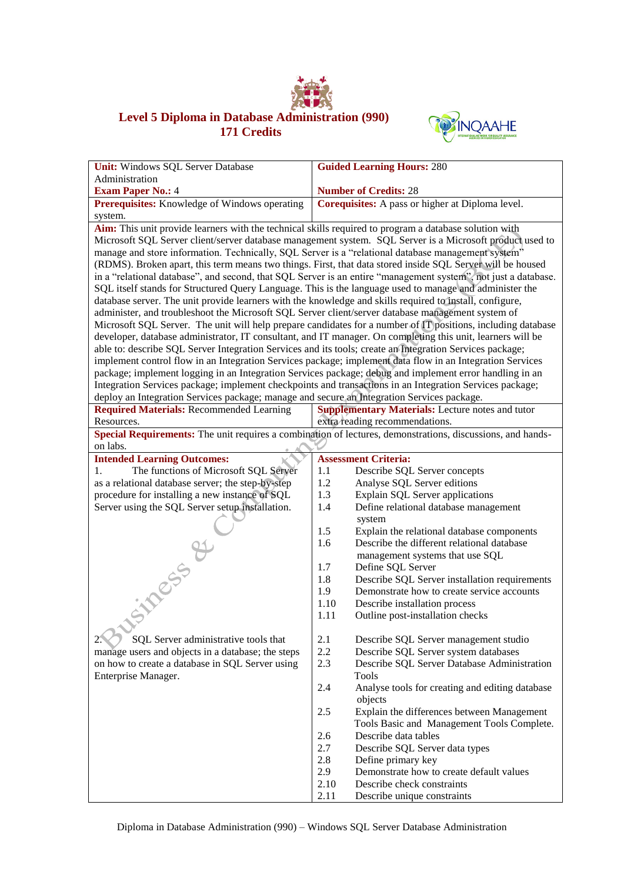

## **Level 5 Diploma in Database Administration (990) 171 Credits**



| Unit: Windows SQL Server Database                                                                                                                                                                                   |            | <b>Guided Learning Hours: 280</b>                              |  |  |
|---------------------------------------------------------------------------------------------------------------------------------------------------------------------------------------------------------------------|------------|----------------------------------------------------------------|--|--|
| Administration                                                                                                                                                                                                      |            |                                                                |  |  |
| <b>Exam Paper No.: 4</b>                                                                                                                                                                                            |            | <b>Number of Credits: 28</b>                                   |  |  |
| Prerequisites: Knowledge of Windows operating                                                                                                                                                                       |            | Corequisites: A pass or higher at Diploma level.               |  |  |
| system.                                                                                                                                                                                                             |            |                                                                |  |  |
| Aim: This unit provide learners with the technical skills required to program a database solution with                                                                                                              |            |                                                                |  |  |
| Microsoft SQL Server client/server database management system. SQL Server is a Microsoft product used to                                                                                                            |            |                                                                |  |  |
| manage and store information. Technically, SQL Server is a "relational database management system"                                                                                                                  |            |                                                                |  |  |
| (RDMS). Broken apart, this term means two things. First, that data stored inside SQL Server will be housed                                                                                                          |            |                                                                |  |  |
| in a "relational database", and second, that SQL Server is an entire "management system", not just a database.                                                                                                      |            |                                                                |  |  |
| SQL itself stands for Structured Query Language. This is the language used to manage and administer the<br>database server. The unit provide learners with the knowledge and skills required to install, configure, |            |                                                                |  |  |
| administer, and troubleshoot the Microsoft SQL Server client/server database management system of                                                                                                                   |            |                                                                |  |  |
| Microsoft SQL Server. The unit will help prepare candidates for a number of IT positions, including database                                                                                                        |            |                                                                |  |  |
| developer, database administrator, IT consultant, and IT manager. On completing this unit, learners will be                                                                                                         |            |                                                                |  |  |
| able to: describe SQL Server Integration Services and its tools; create an Integration Services package;                                                                                                            |            |                                                                |  |  |
| implement control flow in an Integration Services package; implement data flow in an Integration Services                                                                                                           |            |                                                                |  |  |
| package; implement logging in an Integration Services package; debug and implement error handling in an                                                                                                             |            |                                                                |  |  |
| Integration Services package; implement checkpoints and transactions in an Integration Services package;                                                                                                            |            |                                                                |  |  |
| deploy an Integration Services package; manage and secure an Integration Services package.                                                                                                                          |            |                                                                |  |  |
| <b>Required Materials: Recommended Learning</b>                                                                                                                                                                     |            | <b>Supplementary Materials:</b> Lecture notes and tutor        |  |  |
| Resources.                                                                                                                                                                                                          |            | extra reading recommendations.                                 |  |  |
| Special Requirements: The unit requires a combination of lectures, demonstrations, discussions, and hands-<br>on labs.                                                                                              |            |                                                                |  |  |
| <b>Intended Learning Outcomes:</b>                                                                                                                                                                                  |            | <b>Assessment Criteria:</b>                                    |  |  |
| The functions of Microsoft SQL Server<br>1.                                                                                                                                                                         | 1.1        | Describe SQL Server concepts                                   |  |  |
| as a relational database server; the step-by-step                                                                                                                                                                   | 1.2        | Analyse SQL Server editions                                    |  |  |
| procedure for installing a new instance of SQL                                                                                                                                                                      | 1.3        | <b>Explain SQL Server applications</b>                         |  |  |
| Server using the SQL Server setup installation.                                                                                                                                                                     | 1.4        | Define relational database management                          |  |  |
|                                                                                                                                                                                                                     |            | system                                                         |  |  |
|                                                                                                                                                                                                                     | 1.5        | Explain the relational database components                     |  |  |
|                                                                                                                                                                                                                     | 1.6        | Describe the different relational database                     |  |  |
|                                                                                                                                                                                                                     | 1.7        | management systems that use SQL<br>Define SQL Server           |  |  |
|                                                                                                                                                                                                                     | 1.8        | Describe SQL Server installation requirements                  |  |  |
|                                                                                                                                                                                                                     | 1.9        | Demonstrate how to create service accounts                     |  |  |
|                                                                                                                                                                                                                     | 1.10       | Describe installation process                                  |  |  |
|                                                                                                                                                                                                                     | 1.11       | Outline post-installation checks                               |  |  |
| <b>Siness &amp;</b>                                                                                                                                                                                                 |            |                                                                |  |  |
| SQL Server administrative tools that                                                                                                                                                                                | 2.1        | Describe SQL Server management studio                          |  |  |
| manage users and objects in a database; the steps                                                                                                                                                                   | 2.2        | Describe SQL Server system databases                           |  |  |
| on how to create a database in SQL Server using                                                                                                                                                                     | 2.3        | Describe SQL Server Database Administration                    |  |  |
| Enterprise Manager.                                                                                                                                                                                                 |            | <b>Tools</b>                                                   |  |  |
|                                                                                                                                                                                                                     | 2.4        | Analyse tools for creating and editing database                |  |  |
|                                                                                                                                                                                                                     |            | objects                                                        |  |  |
|                                                                                                                                                                                                                     | 2.5        | Explain the differences between Management                     |  |  |
|                                                                                                                                                                                                                     |            | Tools Basic and Management Tools Complete.                     |  |  |
|                                                                                                                                                                                                                     | 2.6        | Describe data tables                                           |  |  |
|                                                                                                                                                                                                                     | 2.7        | Describe SQL Server data types                                 |  |  |
|                                                                                                                                                                                                                     | 2.8<br>2.9 | Define primary key<br>Demonstrate how to create default values |  |  |
|                                                                                                                                                                                                                     | 2.10       | Describe check constraints                                     |  |  |
|                                                                                                                                                                                                                     | 2.11       | Describe unique constraints                                    |  |  |
|                                                                                                                                                                                                                     |            |                                                                |  |  |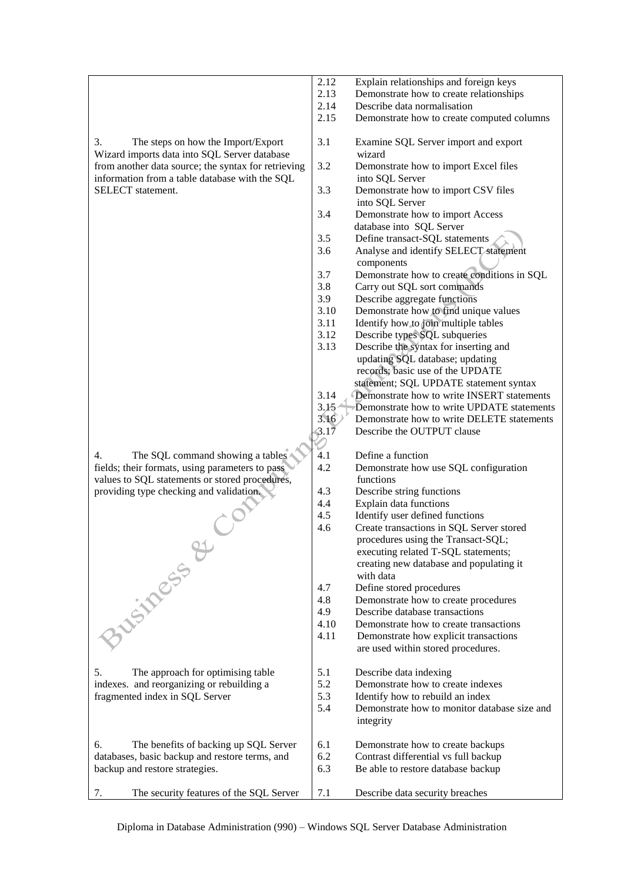|                                                                                                                                                                                                                        | 2.12 | Explain relationships and foreign keys                                      |
|------------------------------------------------------------------------------------------------------------------------------------------------------------------------------------------------------------------------|------|-----------------------------------------------------------------------------|
|                                                                                                                                                                                                                        | 2.13 | Demonstrate how to create relationships                                     |
|                                                                                                                                                                                                                        | 2.14 | Describe data normalisation                                                 |
|                                                                                                                                                                                                                        | 2.15 | Demonstrate how to create computed columns                                  |
|                                                                                                                                                                                                                        |      |                                                                             |
| 3.<br>The steps on how the Import/Export<br>Wizard imports data into SQL Server database<br>from another data source; the syntax for retrieving<br>information from a table database with the SQL<br>SELECT statement. | 3.1  | Examine SQL Server import and export<br>wizard                              |
|                                                                                                                                                                                                                        | 3.2  | Demonstrate how to import Excel files<br>into SQL Server                    |
|                                                                                                                                                                                                                        | 3.3  | Demonstrate how to import CSV files<br>into SQL Server                      |
|                                                                                                                                                                                                                        | 3.4  | Demonstrate how to import Access<br>database into SQL Server                |
|                                                                                                                                                                                                                        | 3.5  | Define transact-SQL statements                                              |
|                                                                                                                                                                                                                        | 3.6  | Analyse and identify SELECT statement<br>components                         |
|                                                                                                                                                                                                                        | 3.7  | Demonstrate how to create conditions in SQL                                 |
|                                                                                                                                                                                                                        | 3.8  | Carry out SQL sort commands                                                 |
|                                                                                                                                                                                                                        | 3.9  | Describe aggregate functions                                                |
|                                                                                                                                                                                                                        | 3.10 | Demonstrate how to find unique values                                       |
|                                                                                                                                                                                                                        | 3.11 | Identify how to join multiple tables                                        |
|                                                                                                                                                                                                                        | 3.12 | Describe types SQL subqueries                                               |
|                                                                                                                                                                                                                        | 3.13 | Describe the syntax for inserting and                                       |
|                                                                                                                                                                                                                        |      | updating SQL database; updating                                             |
|                                                                                                                                                                                                                        |      | records; basic use of the UPDATE                                            |
|                                                                                                                                                                                                                        |      | statement; SQL UPDATE statement syntax                                      |
|                                                                                                                                                                                                                        | 3.14 | Demonstrate how to write INSERT statements                                  |
|                                                                                                                                                                                                                        | 3.15 | Demonstrate how to write UPDATE statements                                  |
|                                                                                                                                                                                                                        | 3.16 | Demonstrate how to write DELETE statements                                  |
|                                                                                                                                                                                                                        | 3.17 | Describe the OUTPUT clause                                                  |
| 4.<br>The SQL command showing a tables                                                                                                                                                                                 | 4.1  | Define a function                                                           |
| fields; their formats, using parameters to pass                                                                                                                                                                        | 4.2  | Demonstrate how use SQL configuration                                       |
| values to SQL statements or stored procedures,                                                                                                                                                                         |      | functions                                                                   |
| providing type checking and validation.                                                                                                                                                                                | 4.3  | Describe string functions                                                   |
|                                                                                                                                                                                                                        | 4.4  | Explain data functions                                                      |
|                                                                                                                                                                                                                        | 4.5  | Identify user defined functions                                             |
|                                                                                                                                                                                                                        | 4.6  | Create transactions in SQL Server stored                                    |
|                                                                                                                                                                                                                        |      | procedures using the Transact-SQL;                                          |
|                                                                                                                                                                                                                        |      | executing related T-SQL statements;                                         |
|                                                                                                                                                                                                                        |      | creating new database and populating it                                     |
|                                                                                                                                                                                                                        |      | with data                                                                   |
|                                                                                                                                                                                                                        | 4.7  | Define stored procedures                                                    |
|                                                                                                                                                                                                                        | 4.8  | Demonstrate how to create procedures                                        |
|                                                                                                                                                                                                                        | 4.9  | Describe database transactions                                              |
|                                                                                                                                                                                                                        | 4.10 | Demonstrate how to create transactions                                      |
| 3 Listers 2                                                                                                                                                                                                            | 4.11 | Demonstrate how explicit transactions<br>are used within stored procedures. |
|                                                                                                                                                                                                                        |      |                                                                             |
| 5.<br>The approach for optimising table                                                                                                                                                                                | 5.1  | Describe data indexing                                                      |
| indexes. and reorganizing or rebuilding a                                                                                                                                                                              | 5.2  | Demonstrate how to create indexes                                           |
| fragmented index in SQL Server                                                                                                                                                                                         | 5.3  | Identify how to rebuild an index                                            |
|                                                                                                                                                                                                                        | 5.4  | Demonstrate how to monitor database size and<br>integrity                   |
| The benefits of backing up SQL Server<br>6.                                                                                                                                                                            | 6.1  |                                                                             |
| databases, basic backup and restore terms, and                                                                                                                                                                         | 6.2  | Demonstrate how to create backups<br>Contrast differential vs full backup   |
| backup and restore strategies.                                                                                                                                                                                         | 6.3  | Be able to restore database backup                                          |
|                                                                                                                                                                                                                        |      |                                                                             |
| 7.<br>The security features of the SQL Server                                                                                                                                                                          | 7.1  | Describe data security breaches                                             |

Diploma in Database Administration (990) – Windows SQL Server Database Administration